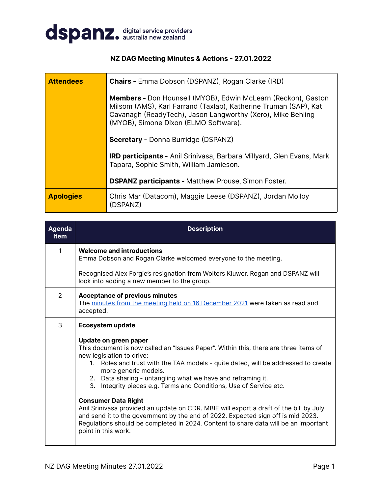

### **NZ DAG Meeting Minutes & Actions - 27.01.2022**

| <b>Attendees</b> | <b>Chairs - Emma Dobson (DSPANZ), Rogan Clarke (IRD)</b>                                                                                                                                                                                         |  |  |  |
|------------------|--------------------------------------------------------------------------------------------------------------------------------------------------------------------------------------------------------------------------------------------------|--|--|--|
|                  | <b>Members -</b> Don Hounsell (MYOB), Edwin McLearn (Reckon), Gaston<br>Milsom (AMS), Karl Farrand (Taxlab), Katherine Truman (SAP), Kat<br>Cavanagh (ReadyTech), Jason Langworthy (Xero), Mike Behling<br>(MYOB), Simone Dixon (ELMO Software). |  |  |  |
|                  | <b>Secretary - Donna Burridge (DSPANZ)</b>                                                                                                                                                                                                       |  |  |  |
|                  | <b>IRD participants - Anil Srinivasa, Barbara Millyard, Glen Evans, Mark</b><br>Tapara, Sophie Smith, William Jamieson.                                                                                                                          |  |  |  |
|                  | <b>DSPANZ participants - Matthew Prouse, Simon Foster.</b>                                                                                                                                                                                       |  |  |  |
| <b>Apologies</b> | Chris Mar (Datacom), Maggie Leese (DSPANZ), Jordan Molloy<br>(DSPANZ)                                                                                                                                                                            |  |  |  |

| <b>Agenda</b><br><b>Item</b> | <b>Description</b>                                                                                                                                                                                                                                                                                                                                                                           |
|------------------------------|----------------------------------------------------------------------------------------------------------------------------------------------------------------------------------------------------------------------------------------------------------------------------------------------------------------------------------------------------------------------------------------------|
| $\mathbf{1}$                 | <b>Welcome and introductions</b><br>Emma Dobson and Rogan Clarke welcomed everyone to the meeting.                                                                                                                                                                                                                                                                                           |
|                              | Recognised Alex Forgie's resignation from Wolters Kluwer. Rogan and DSPANZ will<br>look into adding a new member to the group.                                                                                                                                                                                                                                                               |
| $\overline{2}$               | <b>Acceptance of previous minutes</b><br>The minutes from the meeting held on 16 December 2021 were taken as read and<br>accepted.                                                                                                                                                                                                                                                           |
| 3                            | <b>Ecosystem update</b>                                                                                                                                                                                                                                                                                                                                                                      |
|                              | Update on green paper<br>This document is now called an "Issues Paper". Within this, there are three items of<br>new legislation to drive:<br>1. Roles and trust with the TAA models - quite dated, will be addressed to create<br>more generic models.<br>2. Data sharing - untangling what we have and reframing it.<br>3. Integrity pieces e.g. Terms and Conditions, Use of Service etc. |
|                              | <b>Consumer Data Right</b><br>Anil Srinivasa provided an update on CDR. MBIE will export a draft of the bill by July<br>and send it to the government by the end of 2022. Expected sign off is mid 2023.<br>Regulations should be completed in 2024. Content to share data will be an important<br>point in this work.                                                                       |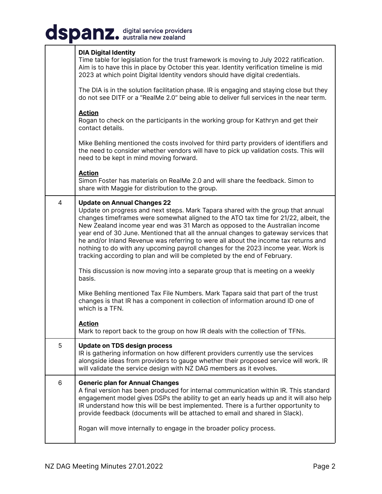## dspanz. digital service providers

|   | <b>DIA Digital Identity</b><br>Time table for legislation for the trust framework is moving to July 2022 ratification.<br>Aim is to have this in place by October this year. Identity verification timeline is mid<br>2023 at which point Digital Identity vendors should have digital credentials.                                                                                                                                                                                                                                                                                                                                          |
|---|----------------------------------------------------------------------------------------------------------------------------------------------------------------------------------------------------------------------------------------------------------------------------------------------------------------------------------------------------------------------------------------------------------------------------------------------------------------------------------------------------------------------------------------------------------------------------------------------------------------------------------------------|
|   | The DIA is in the solution facilitation phase. IR is engaging and staying close but they<br>do not see DITF or a "RealMe 2.0" being able to deliver full services in the near term.                                                                                                                                                                                                                                                                                                                                                                                                                                                          |
|   | <b>Action</b><br>Rogan to check on the participants in the working group for Kathryn and get their<br>contact details.                                                                                                                                                                                                                                                                                                                                                                                                                                                                                                                       |
|   | Mike Behling mentioned the costs involved for third party providers of identifiers and<br>the need to consider whether vendors will have to pick up validation costs. This will<br>need to be kept in mind moving forward.                                                                                                                                                                                                                                                                                                                                                                                                                   |
|   | <b>Action</b><br>Simon Foster has materials on RealMe 2.0 and will share the feedback. Simon to<br>share with Maggie for distribution to the group.                                                                                                                                                                                                                                                                                                                                                                                                                                                                                          |
| 4 | <b>Update on Annual Changes 22</b><br>Update on progress and next steps. Mark Tapara shared with the group that annual<br>changes timeframes were somewhat aligned to the ATO tax time for 21/22, albeit, the<br>New Zealand income year end was 31 March as opposed to the Australian income<br>year end of 30 June. Mentioned that all the annual changes to gateway services that<br>he and/or Inland Revenue was referring to were all about the income tax returns and<br>nothing to do with any upcoming payroll changes for the 2023 income year. Work is<br>tracking according to plan and will be completed by the end of February. |
|   | This discussion is now moving into a separate group that is meeting on a weekly<br>basis.                                                                                                                                                                                                                                                                                                                                                                                                                                                                                                                                                    |
|   | Mike Behling mentioned Tax File Numbers. Mark Tapara said that part of the trust<br>changes is that IR has a component in collection of information around ID one of<br>which is a TFN.                                                                                                                                                                                                                                                                                                                                                                                                                                                      |
|   | <u>Action</u><br>Mark to report back to the group on how IR deals with the collection of TFNs.                                                                                                                                                                                                                                                                                                                                                                                                                                                                                                                                               |
| 5 | <b>Update on TDS design process</b><br>IR is gathering information on how different providers currently use the services<br>alongside ideas from providers to gauge whether their proposed service will work. IR<br>will validate the service design with NZ DAG members as it evolves.                                                                                                                                                                                                                                                                                                                                                      |
| 6 | <b>Generic plan for Annual Changes</b><br>A final version has been produced for internal communication within IR. This standard<br>engagement model gives DSPs the ability to get an early heads up and it will also help<br>IR understand how this will be best implemented. There is a further opportunity to<br>provide feedback (documents will be attached to email and shared in Slack).<br>Rogan will move internally to engage in the broader policy process.                                                                                                                                                                        |
|   |                                                                                                                                                                                                                                                                                                                                                                                                                                                                                                                                                                                                                                              |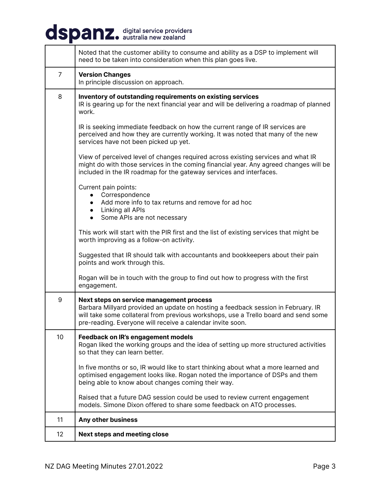# dspanz. digital service providers

| Noted that the customer ability to consume and ability as a DSP to implement will<br>need to be taken into consideration when this plan goes live.                                                                                                                                 |  |
|------------------------------------------------------------------------------------------------------------------------------------------------------------------------------------------------------------------------------------------------------------------------------------|--|
| <b>Version Changes</b><br>In principle discussion on approach.                                                                                                                                                                                                                     |  |
| Inventory of outstanding requirements on existing services<br>IR is gearing up for the next financial year and will be delivering a roadmap of planned<br>work.                                                                                                                    |  |
| IR is seeking immediate feedback on how the current range of IR services are<br>perceived and how they are currently working. It was noted that many of the new<br>services have not been picked up yet.                                                                           |  |
| View of perceived level of changes required across existing services and what IR<br>might do with those services in the coming financial year. Any agreed changes will be<br>included in the IR roadmap for the gateway services and interfaces.                                   |  |
| Current pain points:<br>Correspondence<br>Add more info to tax returns and remove for ad hoc<br>• Linking all APIs<br>Some APIs are not necessary                                                                                                                                  |  |
| This work will start with the PIR first and the list of existing services that might be<br>worth improving as a follow-on activity.                                                                                                                                                |  |
| Suggested that IR should talk with accountants and bookkeepers about their pain<br>points and work through this.                                                                                                                                                                   |  |
| Rogan will be in touch with the group to find out how to progress with the first<br>engagement.                                                                                                                                                                                    |  |
| Next steps on service management process<br>Barbara Millyard provided an update on hosting a feedback session in February. IR<br>will take some collateral from previous workshops, use a Trello board and send some<br>pre-reading. Everyone will receive a calendar invite soon. |  |
| Feedback on IR's engagement models<br>Rogan liked the working groups and the idea of setting up more structured activities<br>so that they can learn better.                                                                                                                       |  |
| In five months or so, IR would like to start thinking about what a more learned and<br>optimised engagement looks like. Rogan noted the importance of DSPs and them<br>being able to know about changes coming their way.                                                          |  |
|                                                                                                                                                                                                                                                                                    |  |

Raised that a future DAG session could be used to review current engagement models. Simone Dixon offered to share some feedback on ATO processes.

| 11 | Any other business           |
|----|------------------------------|
| 12 | Next steps and meeting close |